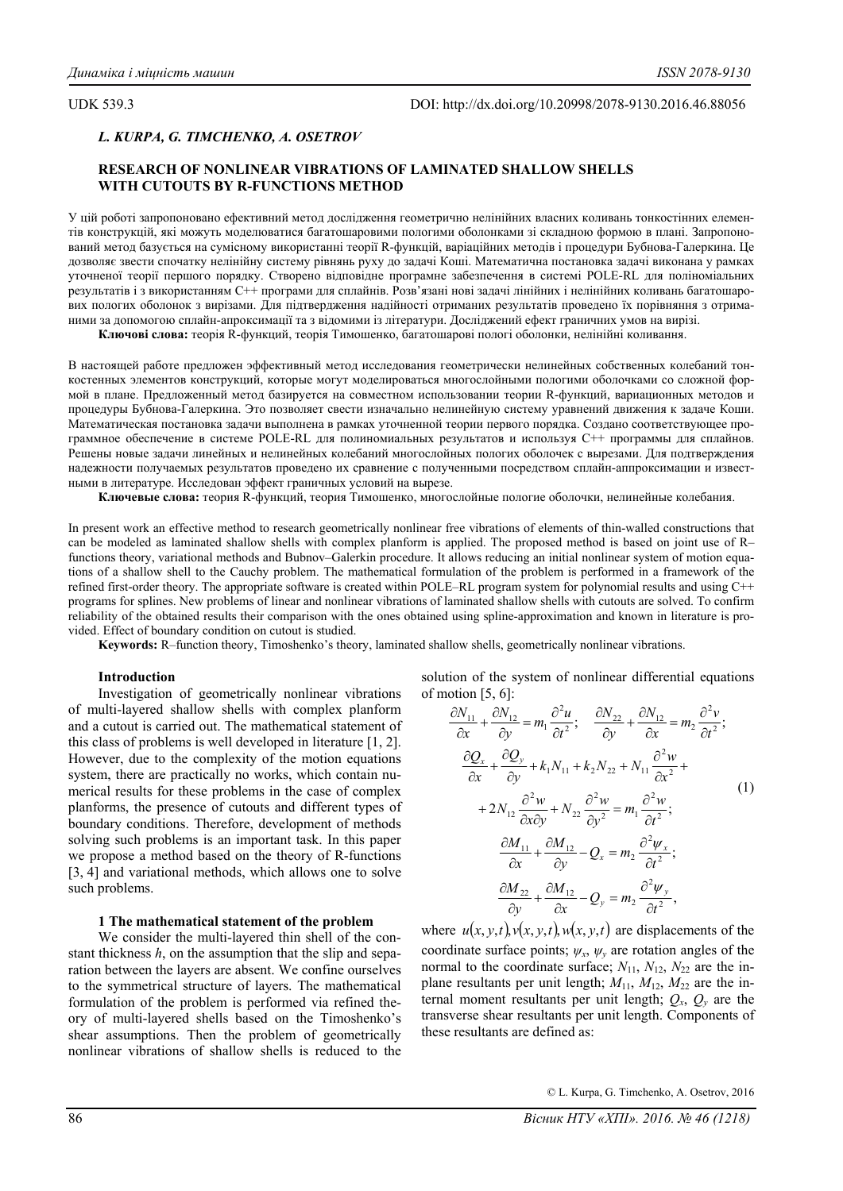UDK 539.3 DOI: http://dx.doi.org/10.20998/2078-9130.2016.46.88056

# *L. KURPA, G. TIMCHENKO, A. OSETROV*

## **RESEARCH OF NONLINEAR VIBRATIONS OF LAMINATED SHALLOW SHELLS WITH CUTOUTS BY R-FUNCTIONS METHOD**

У цій роботі запропоновано ефективний метод дослідження геометрично нелінійних власних коливань тонкостінних елементів конструкцій, які можуть моделюватися багатошаровими пологими оболонками зі складною формою в плані. Запропонований метод базується на сумісному використанні теорії R-функцій, варіаційних методів і процедури Бубнова-Галеркина. Це дозволяє звести спочатку нелінійну систему рівнянь руху до задачі Коші. Математична постановка задачі виконана у рамках уточненої теорії першого порядку. Створено відповідне програмне забезпечення в системі POLE-RL для поліноміальних результатів і з використанням C++ програми для сплайнів. Розв'язані нові задачі лінійних і нелінійних коливань багатошарових пологих оболонок з вирізами. Для підтвердження надійності отриманих результатів проведено їх порівняння з отриманими за допомогою сплайн-апроксимації та з відомими із літератури. Досліджений ефект граничних умов на вирізі.

**Ключові слова:** теорія R-функций, теорія Тимошенко, багатошарові пологі оболонки, нелінійні коливання.

В настоящей работе предложен эффективный метод исследования геометрически нелинейных собственных колебаний тонкостенных элементов конструкций, которые могут моделироваться многослойными пологими оболочками со сложной формой в плане. Предложенный метод базируется на совместном использовании теории R-функций, вариационных методов и процедуры Бубнова-Галеркина. Это позволяет свести изначально нелинейную систему уравнений движения к задаче Коши. Математическая постановка задачи выполнена в рамках уточненной теории первого порядка. Создано соответствующее программное обеспечение в системе POLE-RL для полиномиальных результатов и используя C++ программы для сплайнов. Решены новые задачи линейных и нелинейных колебаний многослойных пологих оболочек с вырезами. Для подтверждения надежности получаемых результатов проведено их сравнение с полученными посредством сплайн-аппроксимации и известными в литературе. Исследован эффект граничных условий на вырезе.

**Ключевые слова:** теория R-функций, теория Тимошенко, многослойные пологие оболочки, нелинейные колебания.

In present work an effective method to research geometrically nonlinear free vibrations of elements of thin-walled constructions that can be modeled as laminated shallow shells with complex planform is applied. The proposed method is based on joint use of R– functions theory, variational methods and Bubnov–Galerkin procedure. It allows reducing an initial nonlinear system of motion equations of a shallow shell to the Cauchy problem. The mathematical formulation of the problem is performed in a framework of the refined first-order theory. The appropriate software is created within POLE–RL program system for polynomial results and using C++ programs for splines. New problems of linear and nonlinear vibrations of laminated shallow shells with cutouts are solved. To confirm reliability of the obtained results their comparison with the ones obtained using spline-approximation and known in literature is provided. Effect of boundary condition on cutout is studied.

**Keywords:** R–function theory, Timoshenko's theory, laminated shallow shells, geometrically nonlinear vibrations.

### **Introduction**

Investigation of geometrically nonlinear vibrations of multi-layered shallow shells with complex planform and a cutout is carried out. The mathematical statement of this class of problems is well developed in literature [1, 2]. However, due to the complexity of the motion equations system, there are practically no works, which contain numerical results for these problems in the case of complex planforms, the presence of cutouts and different types of boundary conditions. Therefore, development of methods solving such problems is an important task. In this paper we propose a method based on the theory of R-functions [3, 4] and variational methods, which allows one to solve such problems.

### **1 The mathematical statement of the problem**

We consider the multi-layered thin shell of the constant thickness *h*, on the assumption that the slip and separation between the layers are absent. We confine ourselves to the symmetrical structure of layers. The mathematical formulation of the problem is performed via refined theory of multi-layered shells based on the Timoshenko's shear assumptions. Then the problem of geometrically nonlinear vibrations of shallow shells is reduced to the

solution of the system of nonlinear differential equations of motion [5, 6]:

$$
\frac{\partial N_{11}}{\partial x} + \frac{\partial N_{12}}{\partial y} = m_1 \frac{\partial^2 u}{\partial t^2}; \quad \frac{\partial N_{22}}{\partial y} + \frac{\partial N_{12}}{\partial x} = m_2 \frac{\partial^2 v}{\partial t^2};
$$
\n
$$
\frac{\partial Q_x}{\partial x} + \frac{\partial Q_y}{\partial y} + k_1 N_{11} + k_2 N_{22} + N_{11} \frac{\partial^2 w}{\partial x^2} +
$$
\n
$$
+ 2N_{12} \frac{\partial^2 w}{\partial x \partial y} + N_{22} \frac{\partial^2 w}{\partial y^2} = m_1 \frac{\partial^2 w}{\partial t^2};
$$
\n
$$
\frac{\partial M_{11}}{\partial x} + \frac{\partial M_{12}}{\partial y} - Q_x = m_2 \frac{\partial^2 \psi_x}{\partial t^2};
$$
\n
$$
\frac{\partial M_{22}}{\partial y} + \frac{\partial M_{12}}{\partial x} - Q_y = m_2 \frac{\partial^2 \psi_y}{\partial t^2},
$$
\n(1)

where  $u(x, y, t)$ ,  $v(x, y, t)$ ,  $w(x, y, t)$  are displacements of the coordinate surface points;  $\psi_x$ ,  $\psi_y$  are rotation angles of the normal to the coordinate surface;  $N_{11}$ ,  $N_{12}$ ,  $N_{22}$  are the inplane resultants per unit length;  $M_{11}$ ,  $M_{12}$ ,  $M_{22}$  are the internal moment resultants per unit length;  $Q_x$ ,  $Q_y$  are the transverse shear resultants per unit length. Components of these resultants are defined as: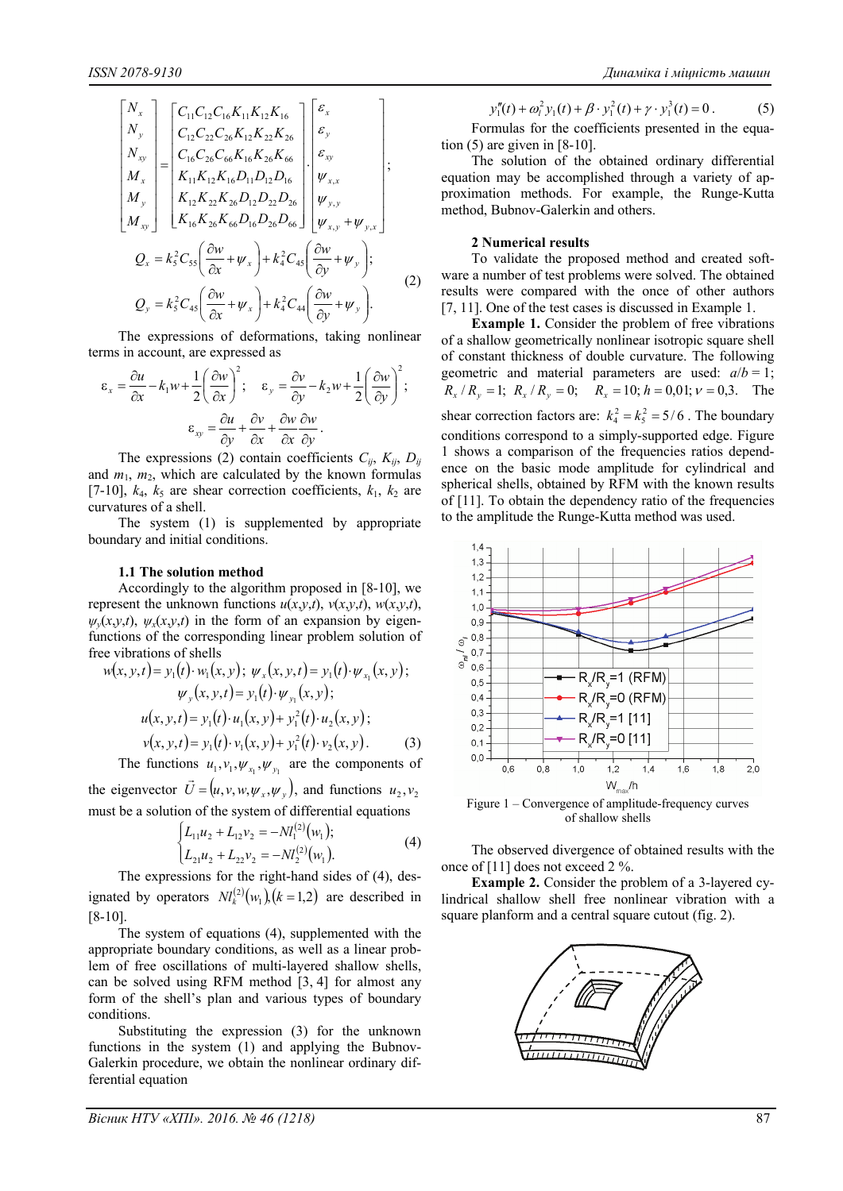$$
\begin{bmatrix}\nN_{x} \\
N_{y} \\
N_{xy} \\
M_{x} \\
M_{y}\n\end{bmatrix} =\n\begin{bmatrix}\nC_{11}C_{12}C_{16}K_{11}K_{12}K_{16} \\
C_{12}C_{22}C_{26}K_{12}K_{22}K_{26} \\
C_{16}C_{26}C_{66}K_{16}K_{26}K_{66} \\
K_{11}K_{12}K_{16}D_{11}D_{12}D_{16} \\
K_{12}K_{22}K_{26}D_{12}D_{22}D_{26} \\
K_{16}K_{26}K_{66}D_{16}D_{26}D_{66}\n\end{bmatrix}\n\begin{bmatrix}\n\varepsilon_{x} \\
\varepsilon_{y} \\
\varepsilon_{xy} \\
\psi_{x,x} \\
\psi_{y,y} \\
\psi_{x,y}\n\end{bmatrix};
$$
\n
$$
Q_{x} = k_{5}^{2}C_{55} \left(\frac{\partial w}{\partial x} + \psi_{x}\right) + k_{4}^{2}C_{45} \left(\frac{\partial w}{\partial y} + \psi_{y}\right);
$$
\n
$$
Q_{y} = k_{5}^{2}C_{45} \left(\frac{\partial w}{\partial x} + \psi_{x}\right) + k_{4}^{2}C_{44} \left(\frac{\partial w}{\partial y} + \psi_{y}\right).
$$
\n(2)

The expressions of deformations, taking nonlinear terms in account, are expressed as

$$
\varepsilon_x = \frac{\partial u}{\partial x} - k_1 w + \frac{1}{2} \left( \frac{\partial w}{\partial x} \right)^2; \quad \varepsilon_y = \frac{\partial v}{\partial y} - k_2 w + \frac{1}{2} \left( \frac{\partial w}{\partial y} \right)^2; \n\varepsilon_{xy} = \frac{\partial u}{\partial y} + \frac{\partial v}{\partial x} + \frac{\partial w}{\partial x} \frac{\partial w}{\partial y}.
$$

The expressions (2) contain coefficients  $C_{ij}$ ,  $K_{ij}$ ,  $D_{ij}$ and  $m_1$ ,  $m_2$ , which are calculated by the known formulas [7-10],  $k_4$ ,  $k_5$  are shear correction coefficients,  $k_1$ ,  $k_2$  are curvatures of a shell.

The system (1) is supplemented by appropriate boundary and initial conditions.

#### **1.1 The solution method**

Accordingly to the algorithm proposed in [8-10], we represent the unknown functions  $u(x,y,t)$ ,  $v(x,y,t)$ ,  $w(x,y,t)$ ,  $\psi_{\nu}(x, y, t)$ ,  $\psi_{x}(x, y, t)$  in the form of an expansion by eigenfunctions of the corresponding linear problem solution of free vibrations of shells

$$
w(x, y, t) = y_1(t) \cdot w_1(x, y); \ \psi_x(x, y, t) = y_1(t) \cdot \psi_{x_1}(x, y);
$$

$$
\psi_y(x, y, t) = y_1(t) \cdot \psi_{y_1}(x, y);
$$

$$
u(x, y, t) = y_1(t) \cdot u_1(x, y) + y_1^2(t) \cdot u_2(x, y);
$$

$$
v(x, y, t) = y_1(t) \cdot v_1(x, y) + y_1^2(t) \cdot v_2(x, y).
$$
(3)

The functions 
$$
u_1, v_1, \psi_{x_1}, \psi_{y_1}
$$
 are the components of

the eigenvector  $\vec{U} = (u, v, w, \psi_x, \psi_y)$ , and functions  $u_2, v_2$ must be a solution of the system of differential equations

$$
\begin{cases}\nL_{11}u_2 + L_{12}v_2 = -Nl_1^{(2)}(w_1); \\
L_{21}u_2 + L_{22}v_2 = -Nl_2^{(2)}(w_1).\n\end{cases} (4)
$$

The expressions for the right-hand sides of (4), designated by operators  $N l_k^{(2)}(w_1)$ ,  $(k = 1,2)$  are described in [8-10].

The system of equations (4), supplemented with the appropriate boundary conditions, as well as a linear problem of free oscillations of multi-layered shallow shells, can be solved using RFM method [3, 4] for almost any form of the shell's plan and various types of boundary conditions.

Substituting the expression (3) for the unknown functions in the system (1) and applying the Bubnov-Galerkin procedure, we obtain the nonlinear ordinary differential equation

$$
y_1''(t) + \omega_t^2 y_1(t) + \beta \cdot y_1^2(t) + \gamma \cdot y_1^3(t) = 0.
$$
 (5)

Formulas for the coefficients presented in the equation  $(5)$  are given in  $[8-10]$ .

The solution of the obtained ordinary differential equation may be accomplished through a variety of approximation methods. For example, the Runge-Kutta method, Bubnov-Galerkin and others.

#### **2 Numerical results**

To validate the proposed method and created software a number of test problems were solved. The obtained results were compared with the once of other authors [7, 11]. One of the test cases is discussed in Example 1.

**Example 1.** Consider the problem of free vibrations of a shallow geometrically nonlinear isotropic square shell of constant thickness of double curvature. The following geometric and material parameters are used:  $a/b = 1$ ;  $R_x/R_y = 1$ ;  $R_x/R_y = 0$ ;  $R_x = 10$ ;  $h = 0.01$ ;  $v = 0.3$ . The shear correction factors are:  $k_4^2 = k_5^2 = 5/6$ . The boundary conditions correspond to a simply-supported edge. Figure 1 shows a comparison of the frequencies ratios dependence on the basic mode amplitude for cylindrical and spherical shells, obtained by RFM with the known results of [11]. To obtain the dependency ratio of the frequencies to the amplitude the Runge-Kutta method was used.



Figure 1 – Convergence of amplitude-frequency curves of shallow shells

The observed divergence of obtained results with the once of [11] does not exceed 2 %.

**Example 2.** Consider the problem of a 3-layered cylindrical shallow shell free nonlinear vibration with a square planform and a central square cutout (fig. 2).

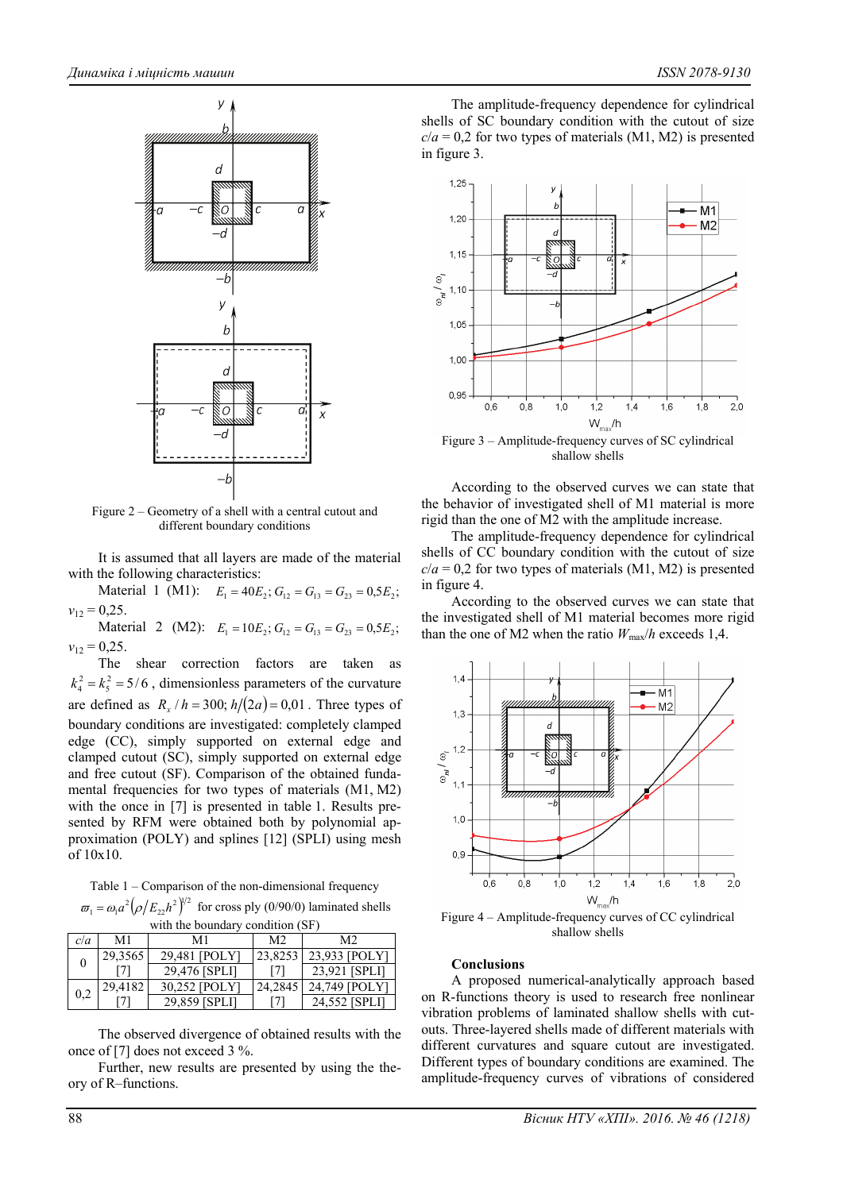

Figure 2 – Geometry of a shell with a central cutout and different boundary conditions

It is assumed that all layers are made of the material with the following characteristics:

Material 1 (M1):  $E_1 = 40E_2$ ;  $G_{12} = G_{13} = G_{23} = 0.5E_2$ ;  $v_{12} = 0,25$ .

Material 2 (M2):  $E_1 = 10E_2$ ;  $G_{12} = G_{13} = G_{23} = 0.5E_2$ ;  $v_{12} = 0.25$ .

The shear correction factors are taken as  $k_4^2 = k_5^2 = 5/6$ , dimensionless parameters of the curvature are defined as  $R_r / h = 300$ ;  $h/(2a) = 0.01$ . Three types of boundary conditions are investigated: completely clamped edge (CC), simply supported on external edge and clamped cutout (SC), simply supported on external edge and free cutout (SF). Comparison of the obtained fundamental frequencies for two types of materials (M1, M2) with the once in [7] is presented in table 1. Results presented by RFM were obtained both by polynomial approximation (POLY) and splines [12] (SPLI) using mesh of 10x10.

Table 1 – Comparison of the non-dimensional frequency  $\omega_1 = \omega_1 a^2 \left( \rho / E_{22} h^2 \right)^{1/2}$  for cross ply (0/90/0) laminated shells

| with the boundary condition (SF) |         |               |                |               |
|----------------------------------|---------|---------------|----------------|---------------|
| c/a                              | M1      | M1            | M <sub>2</sub> | M2.           |
| 0                                | 29,3565 | 29,481 [POLY] | 23,8253        | 23,933 [POLY] |
|                                  |         | 29,476 [SPLI] | [7]            | 23.921 [SPLI] |
| 0,2                              | 29,4182 | 30,252 [POLY] | 24,2845        | 24,749 [POLY] |
|                                  |         | 29,859 [SPLI] | 17.            | 24,552 [SPLI] |

The observed divergence of obtained results with the once of [7] does not exceed 3 %.

Further, new results are presented by using the theory of R–functions.

The amplitude-frequency dependence for cylindrical shells of SC boundary condition with the cutout of size  $c/a = 0.2$  for two types of materials (M1, M2) is presented in figure 3.



Figure 3 – Amplitude-frequency curves of SC cylindrical shallow shells

According to the observed curves we can state that the behavior of investigated shell of M1 material is more rigid than the one of M2 with the amplitude increase.

The amplitude-frequency dependence for cylindrical shells of CC boundary condition with the cutout of size  $c/a = 0.2$  for two types of materials (M1, M2) is presented in figure 4.

According to the observed curves we can state that the investigated shell of M1 material becomes more rigid than the one of M2 when the ratio  $W_{\text{max}}/h$  exceeds 1,4.



Figure 4 – Amplitude-frequency curves of CC cylindrical shallow shells

#### **Conclusions**

A proposed numerical-analytically approach based on R-functions theory is used to research free nonlinear vibration problems of laminated shallow shells with cutouts. Three-layered shells made of different materials with different curvatures and square cutout are investigated. Different types of boundary conditions are examined. The amplitude-frequency curves of vibrations of considered